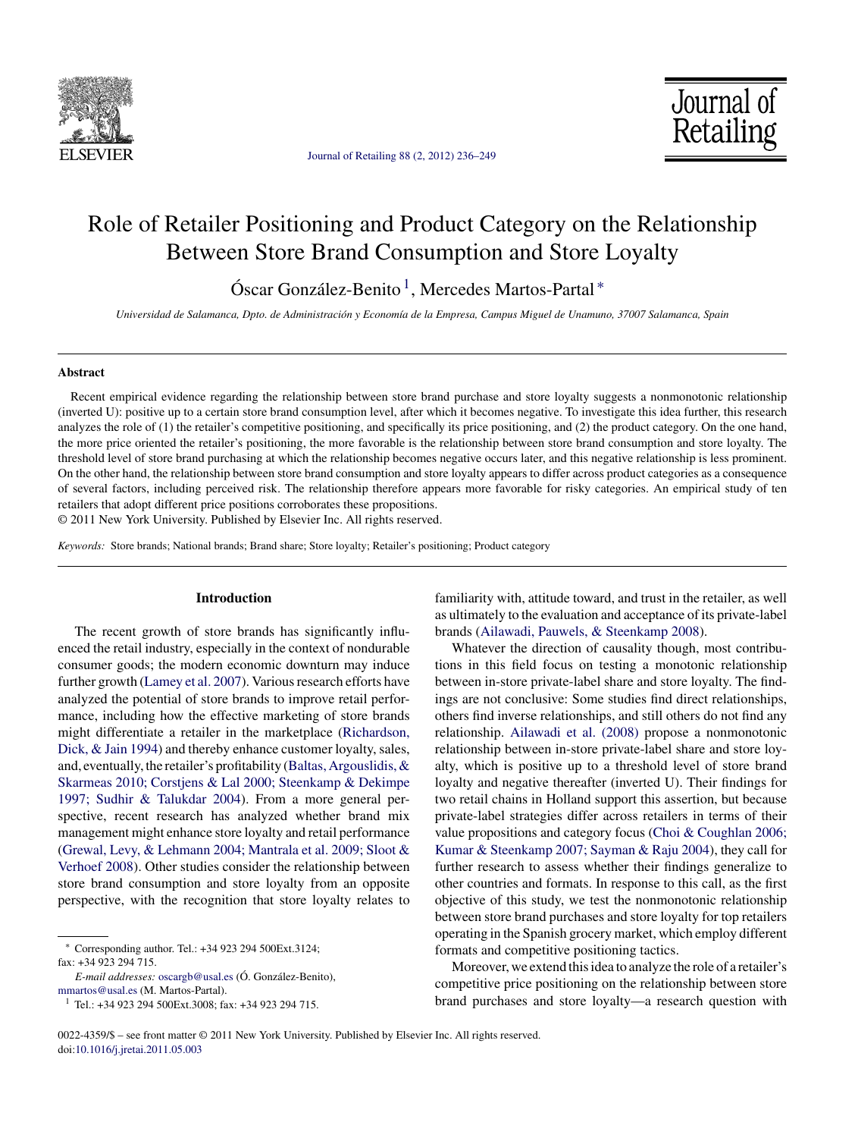

[Journal of Retailing 88 \(2, 2012\) 236–249](dx.doi.org/10.1016/j.jretai.2011.05.003)

Journal of Retailing

# Role of Retailer Positioning and Product Category on the Relationship Between Store Brand Consumption and Store Loyalty

Óscar González-Benito<sup>1</sup>, Mercedes Martos-Partal <sup>\*</sup>

*Universidad de Salamanca, Dpto. de Administración y Economía de la Empresa, Campus Miguel de Unamuno, 37007 Salamanca, Spain*

### **Abstract**

Recent empirical evidence regarding the relationship between store brand purchase and store loyalty suggests a nonmonotonic relationship (inverted U): positive up to a certain store brand consumption level, after which it becomes negative. To investigate this idea further, this research analyzes the role of (1) the retailer's competitive positioning, and specifically its price positioning, and (2) the product category. On the one hand, the more price oriented the retailer's positioning, the more favorable is the relationship between store brand consumption and store loyalty. The threshold level of store brand purchasing at which the relationship becomes negative occurs later, and this negative relationship is less prominent. On the other hand, the relationship between store brand consumption and store loyalty appears to differ across product categories as a consequence of several factors, including perceived risk. The relationship therefore appears more favorable for risky categories. An empirical study of ten retailers that adopt different price positions corroborates these propositions.

© 2011 New York University. Published by Elsevier Inc. All rights reserved.

*Keywords:* Store brands; National brands; Brand share; Store loyalty; Retailer's positioning; Product category

#### **Introduction**

The recent growth of store brands has significantly influenced the retail industry, especially in the context of nondurable consumer goods; the modern economic downturn may induce further growth [\(Lamey et al. 2007\).](#page--1-0) Various research efforts have analyzed the potential of store brands to improve retail performance, including how the effective marketing of store brands might differentiate a retailer in the marketplace [\(Richardson,](#page--1-0) [Dick, & Jain 1994\)](#page--1-0) and thereby enhance customer loyalty, sales, and, eventually, the retailer's profitability [\(Baltas, Argouslidis, &](#page--1-0) [Skarmeas 2010; Corstjens & Lal 2000; Steenkamp & Dekimpe](#page--1-0) [1997; Sudhir & Talukdar 2004\).](#page--1-0) From a more general perspective, recent research has analyzed whether brand mix management might enhance store loyalty and retail performance [\(Grewal, Levy, & Lehmann 2004; Mantrala et al. 2009; Sloot &](#page--1-0) [Verhoef 2008\).](#page--1-0) Other studies consider the relationship between store brand consumption and store loyalty from an opposite perspective, with the recognition that store loyalty relates to

∗ Corresponding author. Tel.: +34 923 294 500Ext.3124; fax: +34 923 294 715.

*E-mail addresses:* [oscargb@usal.es](mailto:oscargb@usal.es) (Ó. González-Benito), [mmartos@usal.es](mailto:mmartos@usal.es) (M. Martos-Partal).

familiarity with, attitude toward, and trust in the retailer, as well as ultimately to the evaluation and acceptance of its private-label brands [\(Ailawadi, Pauwels, & Steenkamp 2008\).](#page--1-0)

Whatever the direction of causality though, most contributions in this field focus on testing a monotonic relationship between in-store private-label share and store loyalty. The findings are not conclusive: Some studies find direct relationships, others find inverse relationships, and still others do not find any relationship. [Ailawadi et al. \(2008\)](#page--1-0) propose a nonmonotonic relationship between in-store private-label share and store loyalty, which is positive up to a threshold level of store brand loyalty and negative thereafter (inverted U). Their findings for two retail chains in Holland support this assertion, but because private-label strategies differ across retailers in terms of their value propositions and category focus [\(Choi & Coughlan 2006;](#page--1-0) [Kumar & Steenkamp 2007; Sayman & Raju 2004\),](#page--1-0) they call for further research to assess whether their findings generalize to other countries and formats. In response to this call, as the first objective of this study, we test the nonmonotonic relationship between store brand purchases and store loyalty for top retailers operating in the Spanish grocery market, which employ different formats and competitive positioning tactics.

Moreover, we extend this idea to analyze the role of a retailer's competitive price positioning on the relationship between store brand purchases and store loyalty—a research question with

<sup>1</sup> Tel.: +34 923 294 500Ext.3008; fax: +34 923 294 715.

<sup>0022-4359/\$ –</sup> see front matter © 2011 New York University. Published by Elsevier Inc. All rights reserved. doi[:10.1016/j.jretai.2011.05.003](dx.doi.org/10.1016/j.jretai.2011.05.003)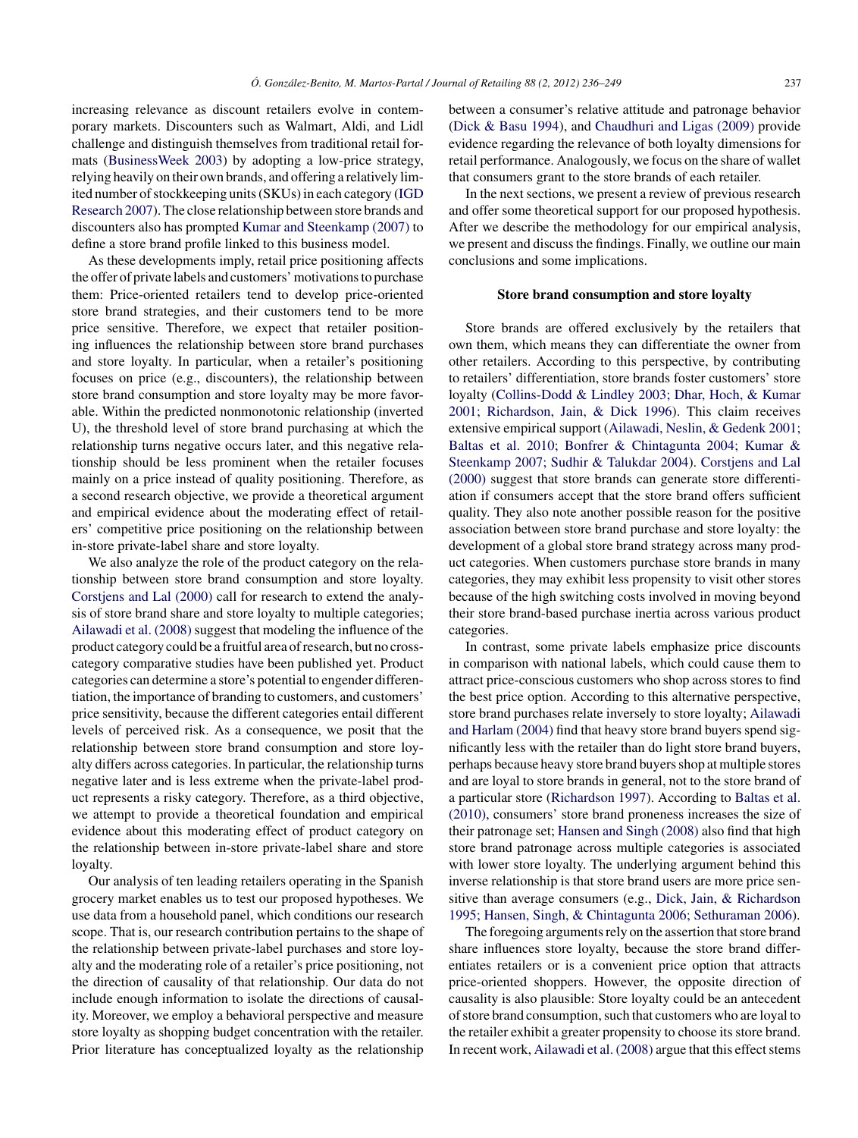increasing relevance as discount retailers evolve in contemporary markets. Discounters such as Walmart, Aldi, and Lidl challenge and distinguish themselves from traditional retail formats ([BusinessWeek 2003\)](#page--1-0) by adopting a low-price strategy, relying heavily on their own brands, and offering a relatively limited number of stockkeeping units (SKUs) in each category ([IGD](#page--1-0) [Research 2007\).](#page--1-0) The close relationship between store brands and discounters also has prompted [Kumar and Steenkamp \(2007\)](#page--1-0) to define a store brand profile linked to this business model.

As these developments imply, retail price positioning affects the offer of private labels and customers' motivations to purchase them: Price-oriented retailers tend to develop price-oriented store brand strategies, and their customers tend to be more price sensitive. Therefore, we expect that retailer positioning influences the relationship between store brand purchases and store loyalty. In particular, when a retailer's positioning focuses on price (e.g., discounters), the relationship between store brand consumption and store loyalty may be more favorable. Within the predicted nonmonotonic relationship (inverted U), the threshold level of store brand purchasing at which the relationship turns negative occurs later, and this negative relationship should be less prominent when the retailer focuses mainly on a price instead of quality positioning. Therefore, as a second research objective, we provide a theoretical argument and empirical evidence about the moderating effect of retailers' competitive price positioning on the relationship between in-store private-label share and store loyalty.

We also analyze the role of the product category on the relationship between store brand consumption and store loyalty. [Corstjens and Lal \(2000\)](#page--1-0) call for research to extend the analysis of store brand share and store loyalty to multiple categories; [Ailawadi et al. \(2008\)](#page--1-0) suggest that modeling the influence of the product category could be a fruitful area of research, but no crosscategory comparative studies have been published yet. Product categories can determine a store's potential to engender differentiation, the importance of branding to customers, and customers' price sensitivity, because the different categories entail different levels of perceived risk. As a consequence, we posit that the relationship between store brand consumption and store loyalty differs across categories. In particular, the relationship turns negative later and is less extreme when the private-label product represents a risky category. Therefore, as a third objective, we attempt to provide a theoretical foundation and empirical evidence about this moderating effect of product category on the relationship between in-store private-label share and store loyalty.

Our analysis of ten leading retailers operating in the Spanish grocery market enables us to test our proposed hypotheses. We use data from a household panel, which conditions our research scope. That is, our research contribution pertains to the shape of the relationship between private-label purchases and store loyalty and the moderating role of a retailer's price positioning, not the direction of causality of that relationship. Our data do not include enough information to isolate the directions of causality. Moreover, we employ a behavioral perspective and measure store loyalty as shopping budget concentration with the retailer. Prior literature has conceptualized loyalty as the relationship

between a consumer's relative attitude and patronage behavior ([Dick & Basu 1994\),](#page--1-0) and [Chaudhuri and Ligas \(2009\)](#page--1-0) provide evidence regarding the relevance of both loyalty dimensions for retail performance. Analogously, we focus on the share of wallet that consumers grant to the store brands of each retailer.

In the next sections, we present a review of previous research and offer some theoretical support for our proposed hypothesis. After we describe the methodology for our empirical analysis, we present and discuss the findings. Finally, we outline our main conclusions and some implications.

#### **Store brand consumption and store loyalty**

Store brands are offered exclusively by the retailers that own them, which means they can differentiate the owner from other retailers. According to this perspective, by contributing to retailers' differentiation, store brands foster customers' store loyalty [\(Collins-Dodd & Lindley 2003; Dhar, Hoch, & Kumar](#page--1-0) [2001; Richardson, Jain, & Dick 1996\).](#page--1-0) This claim receives extensive empirical support ([Ailawadi, Neslin, & Gedenk 2001;](#page--1-0) [Baltas et al. 2010; Bonfrer & Chintagunta 2004; Kumar &](#page--1-0) [Steenkamp 2007; Sudhir & Talukdar 2004\).](#page--1-0) [Corstjens and Lal](#page--1-0) [\(2000\)](#page--1-0) suggest that store brands can generate store differentiation if consumers accept that the store brand offers sufficient quality. They also note another possible reason for the positive association between store brand purchase and store loyalty: the development of a global store brand strategy across many product categories. When customers purchase store brands in many categories, they may exhibit less propensity to visit other stores because of the high switching costs involved in moving beyond their store brand-based purchase inertia across various product categories.

In contrast, some private labels emphasize price discounts in comparison with national labels, which could cause them to attract price-conscious customers who shop across stores to find the best price option. According to this alternative perspective, store brand purchases relate inversely to store loyalty; [Ailawadi](#page--1-0) [and Harlam \(2004\)](#page--1-0) find that heavy store brand buyers spend significantly less with the retailer than do light store brand buyers, perhaps because heavy store brand buyers shop at multiple stores and are loyal to store brands in general, not to the store brand of a particular store ([Richardson 1997\).](#page--1-0) According to [Baltas et al.](#page--1-0) [\(2010\),](#page--1-0) consumers' store brand proneness increases the size of their patronage set; [Hansen and Singh \(2008\)](#page--1-0) also find that high store brand patronage across multiple categories is associated with lower store loyalty. The underlying argument behind this inverse relationship is that store brand users are more price sensitive than average consumers (e.g., [Dick, Jain, & Richardson](#page--1-0) [1995; Hansen, Singh, & Chintagunta 2006; Sethuraman 2006\).](#page--1-0)

The foregoing arguments rely on the assertion that store brand share influences store loyalty, because the store brand differentiates retailers or is a convenient price option that attracts price-oriented shoppers. However, the opposite direction of causality is also plausible: Store loyalty could be an antecedent of store brand consumption, such that customers who are loyal to the retailer exhibit a greater propensity to choose its store brand. In recent work, [Ailawadi et al. \(2008\)](#page--1-0) argue that this effect stems